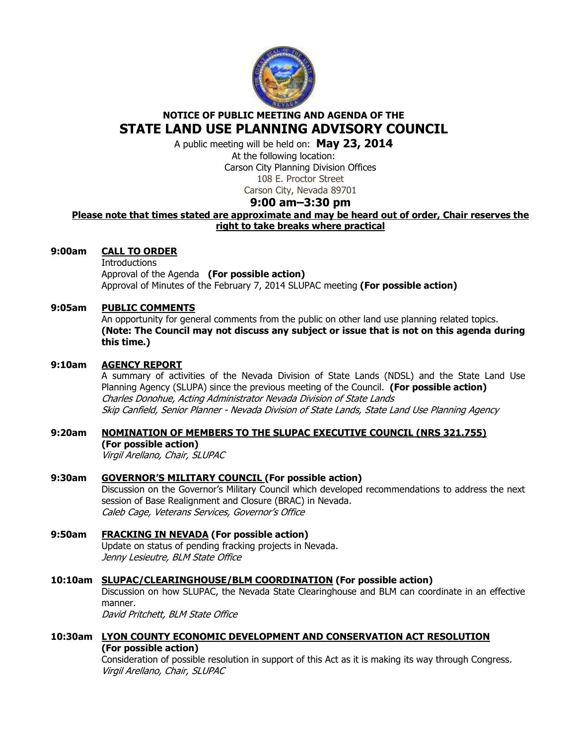

# **NOTICE OF PUBLIC MEETING AND AGENDA OF THE STATE LAND USE PLANNING ADVISORY COUNCIL**

A public meeting will be held on: **May 23, 2014** 

At the following location: Carson City Planning Division Offices 108 E. Proctor Street

Carson City, Nevada 89701

# **9:00 am–3:30 pm**

# **Please note that times stated are approximate and may be heard out of order, Chair reserves the right to take breaks where practical**

## **9:00am CALL TO ORDER**

**Introductions**  Approval of the Agenda **(For possible action)** Approval of Minutes of the February 7, 2014 SLUPAC meeting **(For possible action)** 

### **9:05am PUBLIC COMMENTS**

An opportunity for general comments from the public on other land use planning related topics. **(Note: The Council may not discuss any subject or issue that is not on this agenda during this time.)** 

### **9:10am AGENCY REPORT**

A summary of activities of the Nevada Division of State Lands (NDSL) and the State Land Use Planning Agency (SLUPA) since the previous meeting of the Council. **(For possible action)** Charles Donohue, Acting Administrator Nevada Division of State Lands Skip Canfield, Senior Planner - Nevada Division of State Lands, State Land Use Planning Agency

# **9:20am NOMINATION OF MEMBERS TO THE SLUPAC EXECUTIVE COUNCIL (NRS 321.755)**

**(For possible action)**  Virgil Arellano, Chair, SLUPAC

# **9:30am GOVERNOR'S MILITARY COUNCIL (For possible action)**

Discussion on the Governor's Military Council which developed recommendations to address the next session of Base Realignment and Closure (BRAC) in Nevada. Caleb Cage, Veterans Services, Governor's Office

# **9:50am FRACKING IN NEVADA (For possible action)**

Update on status of pending fracking projects in Nevada. Jenny Lesieutre, BLM State Office

### **10:10am SLUPAC/CLEARINGHOUSE/BLM COORDINATION (For possible action)**

Discussion on how SLUPAC, the Nevada State Clearinghouse and BLM can coordinate in an effective manner.

David Pritchett, BLM State Office

# **10:30am LYON COUNTY ECONOMIC DEVELOPMENT AND CONSERVATION ACT RESOLUTION (For possible action)**

Consideration of possible resolution in support of this Act as it is making its way through Congress. Virgil Arellano, Chair, SLUPAC